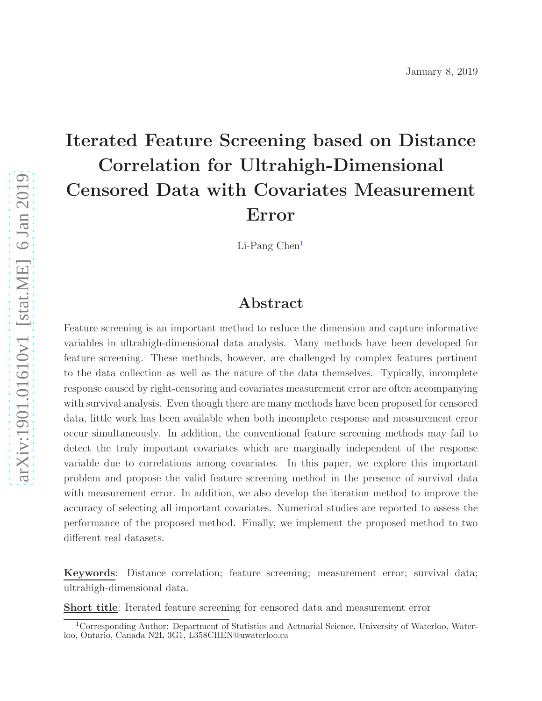# Iterated Feature Screening based on Distance Correlation for Ultrahigh-Dimensional Censored Data with Covariates Measurement Error

Li-Pang Chen<sup>[1](#page-0-0)</sup>

## Abstract

Feature screening is an important method to reduce the dimension and capture informative variables in ultrahigh-dimensional data analysis. Many methods have been developed for feature screening. These methods, however, are challenged by complex features pertinent to the data collection as well as the nature of the data themselves. Typically, incomplete response caused by right-censoring and covariates measurement error are often accompanying with survival analysis. Even though there are many methods have been proposed for censored data, little work has been available when both incomplete response and measurement error occur simultaneously. In addition, the conventional feature screening methods may fail to detect the truly important covariates which are marginally independent of the response variable due to correlations among covariates. In this paper, we explore this important problem and propose the valid feature screening method in the presence of survival data with measurement error. In addition, we also develop the iteration method to improve the accuracy of selecting all important covariates. Numerical studies are reported to assess the performance of the proposed method. Finally, we implement the proposed method to two different real datasets.

Keywords: Distance correlation; feature screening; measurement error; survival data; ultrahigh-dimensional data.

Short title: Iterated feature screening for censored data and measurement error

<span id="page-0-0"></span><sup>&</sup>lt;sup>1</sup>Corresponding Author: Department of Statistics and Actuarial Science, University of Waterloo, Waterloo, Ontario, Canada N2L 3G1, L358CHEN@uwaterloo.ca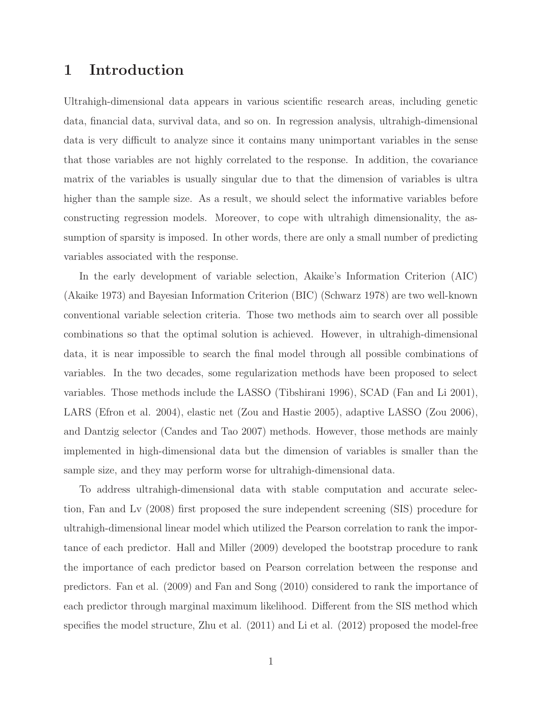### <span id="page-1-0"></span>1 Introduction

Ultrahigh-dimensional data appears in various scientific research areas, including genetic data, financial data, survival data, and so on. In regression analysis, ultrahigh-dimensional data is very difficult to analyze since it contains many unimportant variables in the sense that those variables are not highly correlated to the response. In addition, the covariance matrix of the variables is usually singular due to that the dimension of variables is ultra higher than the sample size. As a result, we should select the informative variables before constructing regression models. Moreover, to cope with ultrahigh dimensionality, the assumption of sparsity is imposed. In other words, there are only a small number of predicting variables associated with the response.

In the early development of variable selection, Akaike's Information Criterion (AIC) (Akaike 1973) and Bayesian Information Criterion (BIC) (Schwarz 1978) are two well-known conventional variable selection criteria. Those two methods aim to search over all possible combinations so that the optimal solution is achieved. However, in ultrahigh-dimensional data, it is near impossible to search the final model through all possible combinations of variables. In the two decades, some regularization methods have been proposed to select variables. Those methods include the LASSO (Tibshirani 1996), SCAD (Fan and Li 2001), LARS (Efron et al. 2004), elastic net (Zou and Hastie 2005), adaptive LASSO (Zou 2006), and Dantzig selector (Candes and Tao 2007) methods. However, those methods are mainly implemented in high-dimensional data but the dimension of variables is smaller than the sample size, and they may perform worse for ultrahigh-dimensional data.

To address ultrahigh-dimensional data with stable computation and accurate selection, Fan and Lv (2008) first proposed the sure independent screening (SIS) procedure for ultrahigh-dimensional linear model which utilized the Pearson correlation to rank the importance of each predictor. Hall and Miller (2009) developed the bootstrap procedure to rank the importance of each predictor based on Pearson correlation between the response and predictors. Fan et al. (2009) and Fan and Song (2010) considered to rank the importance of each predictor through marginal maximum likelihood. Different from the SIS method which specifies the model structure, Zhu et al. (2011) and Li et al. (2012) proposed the model-free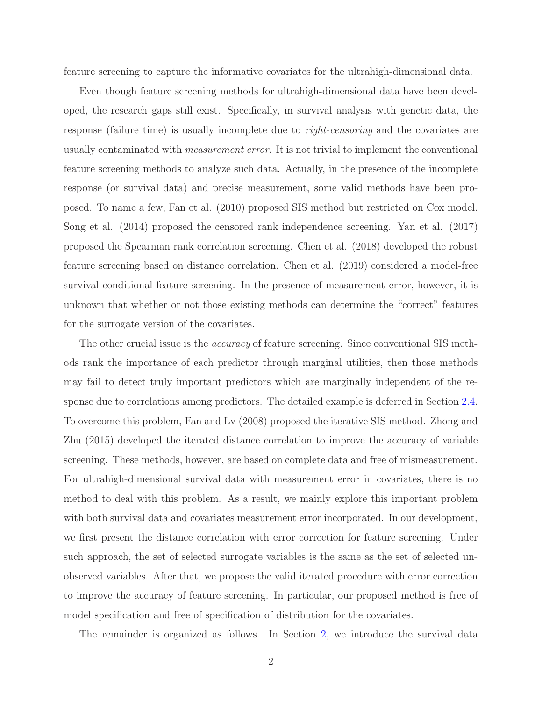feature screening to capture the informative covariates for the ultrahigh-dimensional data.

Even though feature screening methods for ultrahigh-dimensional data have been developed, the research gaps still exist. Specifically, in survival analysis with genetic data, the response (failure time) is usually incomplete due to *right-censoring* and the covariates are usually contaminated with *measurement error*. It is not trivial to implement the conventional feature screening methods to analyze such data. Actually, in the presence of the incomplete response (or survival data) and precise measurement, some valid methods have been proposed. To name a few, Fan et al. (2010) proposed SIS method but restricted on Cox model. Song et al. (2014) proposed the censored rank independence screening. Yan et al. (2017) proposed the Spearman rank correlation screening. Chen et al. (2018) developed the robust feature screening based on distance correlation. Chen et al. (2019) considered a model-free survival conditional feature screening. In the presence of measurement error, however, it is unknown that whether or not those existing methods can determine the "correct" features for the surrogate version of the covariates.

The other crucial issue is the *accuracy* of feature screening. Since conventional SIS methods rank the importance of each predictor through marginal utilities, then those methods may fail to detect truly important predictors which are marginally independent of the response due to correlations among predictors. The detailed example is deferred in Section [2.4.](#page-5-0) To overcome this problem, Fan and Lv (2008) proposed the iterative SIS method. Zhong and Zhu (2015) developed the iterated distance correlation to improve the accuracy of variable screening. These methods, however, are based on complete data and free of mismeasurement. For ultrahigh-dimensional survival data with measurement error in covariates, there is no method to deal with this problem. As a result, we mainly explore this important problem with both survival data and covariates measurement error incorporated. In our development, we first present the distance correlation with error correction for feature screening. Under such approach, the set of selected surrogate variables is the same as the set of selected unobserved variables. After that, we propose the valid iterated procedure with error correction to improve the accuracy of feature screening. In particular, our proposed method is free of model specification and free of specification of distribution for the covariates.

The remainder is organized as follows. In Section [2,](#page-3-0) we introduce the survival data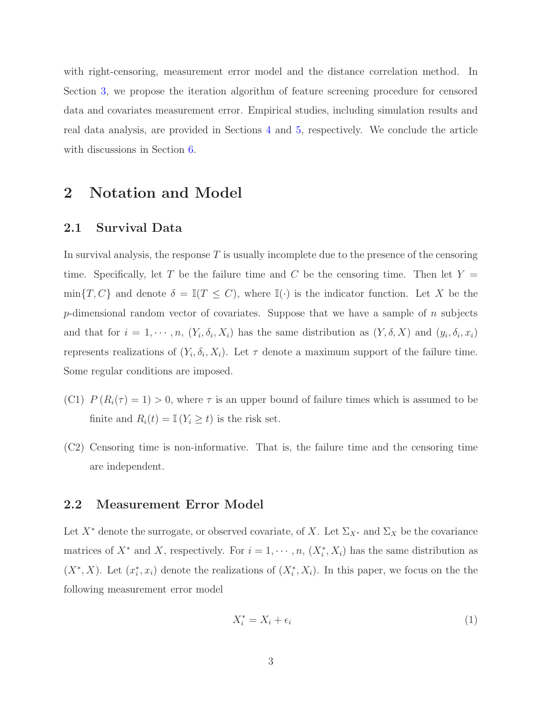with right-censoring, measurement error model and the distance correlation method. In Section [3,](#page-6-0) we propose the iteration algorithm of feature screening procedure for censored data and covariates measurement error. Empirical studies, including simulation results and real data analysis, are provided in Sections [4](#page-11-0) and [5,](#page-13-0) respectively. We conclude the article with discussions in Section [6.](#page-16-0)

# <span id="page-3-2"></span><span id="page-3-0"></span>2 Notation and Model

### 2.1 Survival Data

In survival analysis, the response  $T$  is usually incomplete due to the presence of the censoring time. Specifically, let T be the failure time and C be the censoring time. Then let  $Y =$  $\min\{T, C\}$  and denote  $\delta = \mathbb{I}(T \leq C)$ , where  $\mathbb{I}(\cdot)$  is the indicator function. Let X be the p-dimensional random vector of covariates. Suppose that we have a sample of  $n$  subjects and that for  $i = 1, \dots, n$ ,  $(Y_i, \delta_i, X_i)$  has the same distribution as  $(Y, \delta, X)$  and  $(y_i, \delta_i, x_i)$ represents realizations of  $(Y_i, \delta_i, X_i)$ . Let  $\tau$  denote a maximum support of the failure time. Some regular conditions are imposed.

- (C1)  $P(R_i(\tau) = 1) > 0$ , where  $\tau$  is an upper bound of failure times which is assumed to be finite and  $R_i(t) = \mathbb{I}(Y_i \geq t)$  is the risk set.
- (C2) Censoring time is non-informative. That is, the failure time and the censoring time are independent.

### 2.2 Measurement Error Model

Let  $X^*$  denote the surrogate, or observed covariate, of X. Let  $\Sigma_{X^*}$  and  $\Sigma_X$  be the covariance matrices of  $X^*$  and X, respectively. For  $i = 1, \dots, n$ ,  $(X_i^*, X_i)$  has the same distribution as  $(X^*, X)$ . Let  $(x_i^*)$ <sup>\*</sup>\*, x<sub>i</sub>) denote the realizations of  $(X^*_i, X_i)$ . In this paper, we focus on the the following measurement error model

<span id="page-3-1"></span>
$$
X_i^* = X_i + \epsilon_i \tag{1}
$$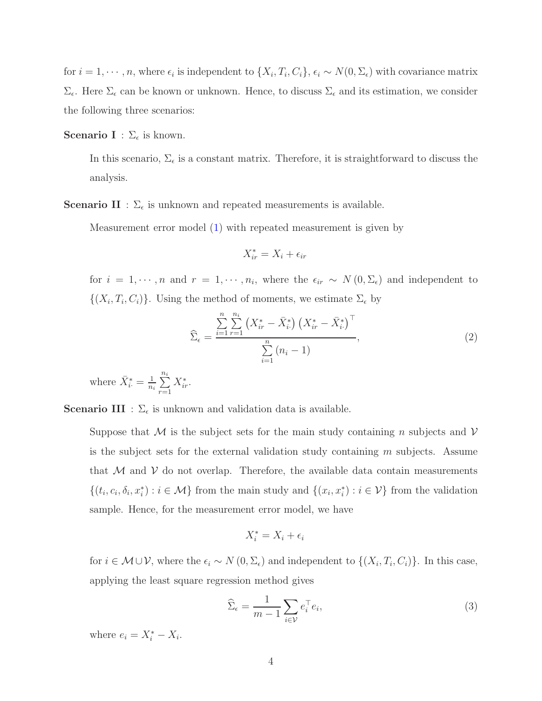for  $i = 1, \dots, n$ , where  $\epsilon_i$  is independent to  $\{X_i, T_i, C_i\}$ ,  $\epsilon_i \sim N(0, \Sigma_{\epsilon})$  with covariance matrix  $\Sigma_{\epsilon}$ . Here  $\Sigma_{\epsilon}$  can be known or unknown. Hence, to discuss  $\Sigma_{\epsilon}$  and its estimation, we consider the following three scenarios:

**Scenario I** :  $\Sigma_{\epsilon}$  is known.

In this scenario,  $\Sigma_{\epsilon}$  is a constant matrix. Therefore, it is straightforward to discuss the analysis.

**Scenario II** :  $\Sigma_{\epsilon}$  is unknown and repeated measurements is available.

Measurement error model [\(1\)](#page-3-1) with repeated measurement is given by

$$
X_{ir}^* = X_i + \epsilon_{ir}
$$

for  $i = 1, \dots, n$  and  $r = 1, \dots, n_i$ , where the  $\epsilon_{ir} \sim N(0, \Sigma_{\epsilon})$  and independent to  $\{(X_i, T_i, C_i)\}\.$  Using the method of moments, we estimate  $\Sigma_{\epsilon}$  by

<span id="page-4-0"></span>
$$
\widehat{\Sigma}_{\epsilon} = \frac{\sum_{i=1}^{n} \sum_{r=1}^{n_i} \left( X_{ir}^* - \bar{X}_{i}^* \right) \left( X_{ir}^* - \bar{X}_{i}^* \right)^{\top}}{\sum_{i=1}^{n} (n_i - 1)},
$$
\n(2)

where  $\bar{X}_i^* = \frac{1}{n_i}$  $\frac{1}{n_i}\sum_{i=1}^{n_i}$  $r=1$  $X_{ir}^*$ .

**Scenario III** :  $\Sigma_{\epsilon}$  is unknown and validation data is available.

Suppose that M is the subject sets for the main study containing n subjects and  $\mathcal V$ is the subject sets for the external validation study containing  $m$  subjects. Assume that  $M$  and  $V$  do not overlap. Therefore, the available data contain measurements  $\{(t_i, c_i, \delta_i, x_i^*) : i \in \mathcal{M}\}\)$  from the main study and  $\{(x_i, x_i^*) : i \in \mathcal{V}\}\)$  from the validation sample. Hence, for the measurement error model, we have

$$
X_i^* = X_i + \epsilon_i
$$

for  $i \in \mathcal{M} \cup \mathcal{V}$ , where the  $\epsilon_i \sim N(0, \Sigma_{\epsilon})$  and independent to  $\{(X_i, T_i, C_i)\}$ . In this case, applying the least square regression method gives

<span id="page-4-1"></span>
$$
\widehat{\Sigma}_{\epsilon} = \frac{1}{m-1} \sum_{i \in \mathcal{V}} e_i^{\top} e_i,\tag{3}
$$

where  $e_i = X_i^* - X_i$ .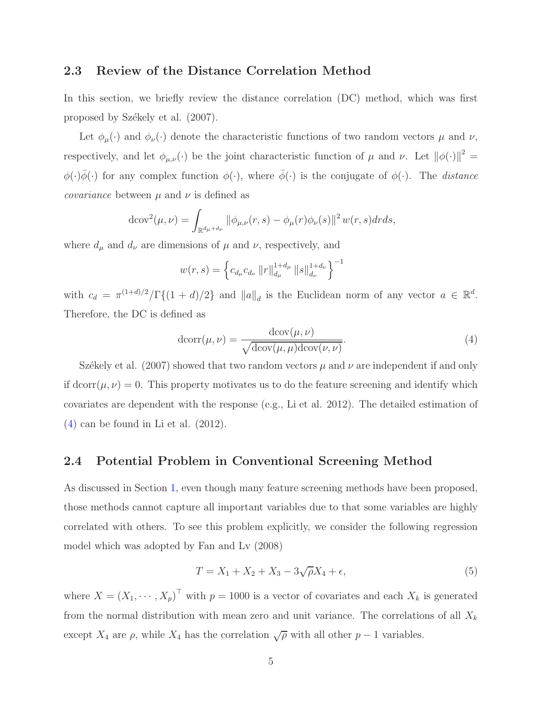#### <span id="page-5-3"></span>2.3 Review of the Distance Correlation Method

In this section, we briefly review the distance correlation (DC) method, which was first proposed by Székely et al.  $(2007)$ .

Let  $\phi_{\mu}(\cdot)$  and  $\phi_{\nu}(\cdot)$  denote the characteristic functions of two random vectors  $\mu$  and  $\nu$ , respectively, and let  $\phi_{\mu,\nu}(\cdot)$  be the joint characteristic function of  $\mu$  and  $\nu$ . Let  $\|\phi(\cdot)\|^2 =$  $\phi(\cdot)\bar{\phi}(\cdot)$  for any complex function  $\phi(\cdot)$ , where  $\bar{\phi}(\cdot)$  is the conjugate of  $\phi(\cdot)$ . The *distance covariance* between  $\mu$  and  $\nu$  is defined as

$$
d\text{cov}^{2}(\mu,\nu) = \int_{\mathbb{R}^{d_{\mu}+d_{\nu}}} ||\phi_{\mu,\nu}(r,s) - \phi_{\mu}(r)\phi_{\nu}(s)||^{2} w(r,s) dr ds,
$$

where  $d_{\mu}$  and  $d_{\nu}$  are dimensions of  $\mu$  and  $\nu$ , respectively, and

$$
w(r,s) = \left\{c_{d_{\mu}}c_{d_{\nu}}\left\|r\right\|_{d_{\mu}}^{1+d_{\mu}}\left\|s\right\|_{d_{\nu}}^{1+d_{\nu}}\right\}^{-1}
$$

with  $c_d = \pi^{(1+d)/2}/\Gamma\{(1+d)/2\}$  and  $||a||_d$  is the Euclidean norm of any vector  $a \in \mathbb{R}^d$ . Therefore, the DC is defined as

<span id="page-5-1"></span>
$$
dcorr(\mu, \nu) = \frac{dcov(\mu, \nu)}{\sqrt{dcov(\mu, \mu)dcov(\nu, \nu)}}.
$$
\n(4)

Székely et al. (2007) showed that two random vectors  $\mu$  and  $\nu$  are independent if and only if dcorr( $\mu, \nu$ ) = 0. This property motivates us to do the feature screening and identify which covariates are dependent with the response (e.g., Li et al. 2012). The detailed estimation of [\(4\)](#page-5-1) can be found in Li et al. (2012).

#### <span id="page-5-0"></span>2.4 Potential Problem in Conventional Screening Method

As discussed in Section [1,](#page-1-0) even though many feature screening methods have been proposed, those methods cannot capture all important variables due to that some variables are highly correlated with others. To see this problem explicitly, we consider the following regression model which was adopted by Fan and Lv (2008)

<span id="page-5-2"></span>
$$
T = X_1 + X_2 + X_3 - 3\sqrt{\rho}X_4 + \epsilon,\tag{5}
$$

where  $X = (X_1, \dots, X_p)^\top$  with  $p = 1000$  is a vector of covariates and each  $X_k$  is generated from the normal distribution with mean zero and unit variance. The correlations of all  $X_k$ except  $X_4$  are  $\rho$ , while  $X_4$  has the correlation  $\sqrt{\rho}$  with all other  $p-1$  variables.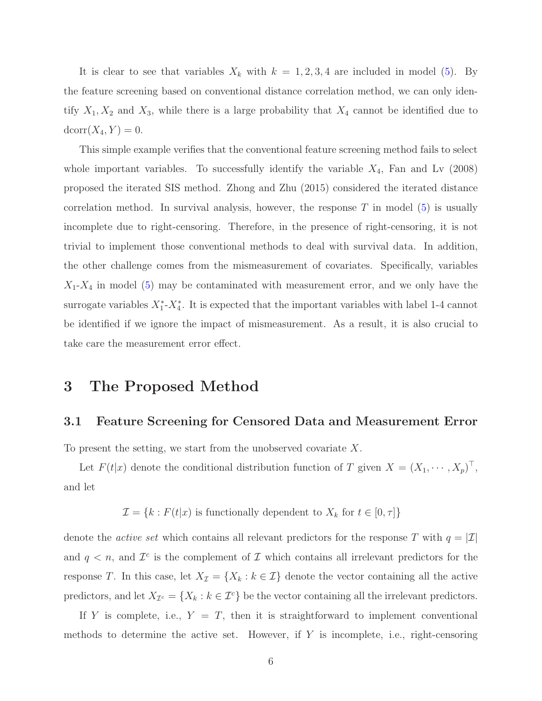<span id="page-6-2"></span>It is clear to see that variables  $X_k$  with  $k = 1, 2, 3, 4$  are included in model [\(5\)](#page-5-2). By the feature screening based on conventional distance correlation method, we can only identify  $X_1, X_2$  and  $X_3$ , while there is a large probability that  $X_4$  cannot be identified due to  $dcorr(X_4, Y) = 0.$ 

This simple example verifies that the conventional feature screening method fails to select whole important variables. To successfully identify the variable  $X_4$ , Fan and Lv (2008) proposed the iterated SIS method. Zhong and Zhu (2015) considered the iterated distance correlation method. In survival analysis, however, the response  $T$  in model [\(5\)](#page-5-2) is usually incomplete due to right-censoring. Therefore, in the presence of right-censoring, it is not trivial to implement those conventional methods to deal with survival data. In addition, the other challenge comes from the mismeasurement of covariates. Specifically, variables  $X_1$ - $X_4$  in model [\(5\)](#page-5-2) may be contaminated with measurement error, and we only have the surrogate variables  $X_1^*$ - $X_4^*$ . It is expected that the important variables with label 1-4 cannot be identified if we ignore the impact of mismeasurement. As a result, it is also crucial to take care the measurement error effect.

### <span id="page-6-1"></span><span id="page-6-0"></span>3 The Proposed Method

#### 3.1 Feature Screening for Censored Data and Measurement Error

To present the setting, we start from the unobserved covariate  $X$ .

Let  $F(t|x)$  denote the conditional distribution function of T given  $X = (X_1, \dots, X_p)^\top$ , and let

 $\mathcal{I}=\{k: F(t|x) \text{ is functionally dependent to } X_k \text{ for } t \in [0,\tau]\}$ 

denote the *active set* which contains all relevant predictors for the response T with  $q = |\mathcal{I}|$ and  $q < n$ , and  $\mathcal{I}^c$  is the complement of  $\mathcal I$  which contains all irrelevant predictors for the response T. In this case, let  $X_{\mathcal{I}} = \{X_k : k \in \mathcal{I}\}\$  denote the vector containing all the active predictors, and let  $X_{\mathcal{I}^c} = \{X_k : k \in \mathcal{I}^c\}$  be the vector containing all the irrelevant predictors.

If Y is complete, i.e.,  $Y = T$ , then it is straightforward to implement conventional methods to determine the active set. However, if  $Y$  is incomplete, i.e., right-censoring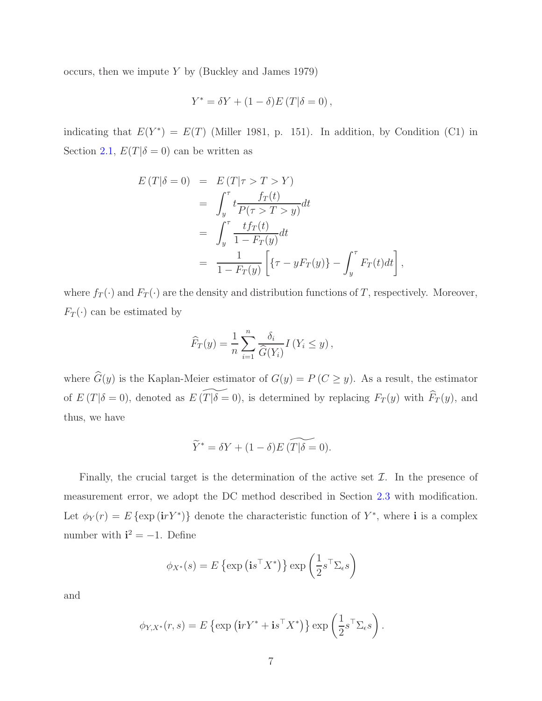occurs, then we impute  $Y$  by (Buckley and James 1979)

$$
Y^* = \delta Y + (1 - \delta)E(T|\delta = 0),
$$

indicating that  $E(Y^*) = E(T)$  (Miller 1981, p. 151). In addition, by Condition (C1) in Section [2.1,](#page-3-2)  $E(T|\delta = 0)$  can be written as

$$
E(T|\delta = 0) = E(T|\tau > T > Y)
$$
  
= 
$$
\int_{y}^{\tau} t \frac{f_T(t)}{P(\tau > T > y)} dt
$$
  
= 
$$
\int_{y}^{\tau} \frac{t f_T(t)}{1 - F_T(y)} dt
$$
  
= 
$$
\frac{1}{1 - F_T(y)} \left[ \{ \tau - y F_T(y) \} - \int_{y}^{\tau} F_T(t) dt \right],
$$

where  $f_T(\cdot)$  and  $F_T(\cdot)$  are the density and distribution functions of T, respectively. Moreover,  $F_T(\cdot)$  can be estimated by

$$
\widehat{F}_T(y) = \frac{1}{n} \sum_{i=1}^n \frac{\delta_i}{\widehat{G}(Y_i)} I(Y_i \le y),
$$

where  $\widehat{G}(y)$  is the Kaplan-Meier estimator of  $G(y) = P(C \ge y)$ . As a result, the estimator of  $E(T|\delta = 0)$ , denoted as  $E(\widetilde{T|\delta} = 0)$ , is determined by replacing  $F_T (y)$  with  $\widehat{F}_T (y)$ , and thus, we have

$$
\widetilde{Y}^* = \delta Y + (1 - \delta) E \left( \widetilde{T|\delta} = 0 \right).
$$

Finally, the crucial target is the determination of the active set  $\mathcal{I}$ . In the presence of measurement error, we adopt the DC method described in Section [2.3](#page-5-3) with modification. Let  $\phi_Y(r) = E \{ \exp(i r Y^*) \}$  denote the characteristic function of  $Y^*$ , where **i** is a complex number with  $\mathbf{i}^2 = -1$ . Define

$$
\phi_{X^*}(s) = E\left\{\exp\left(\mathbf{i} s^\top X^*\right)\right\} \exp\left(\frac{1}{2} s^\top \Sigma_\epsilon s\right)
$$

and

$$
\phi_{Y,X^*}(r,s) = E \left\{ \exp \left( \mathbf{i} r Y^* + \mathbf{i} s^\top X^* \right) \right\} \exp \left( \frac{1}{2} s^\top \Sigma_{\epsilon} s \right).
$$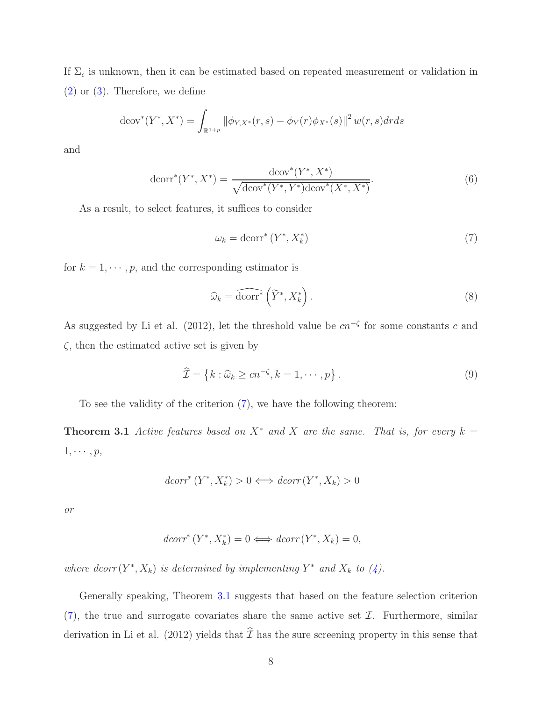If  $\Sigma_{\epsilon}$  is unknown, then it can be estimated based on repeated measurement or validation in [\(2\)](#page-4-0) or [\(3\)](#page-4-1). Therefore, we define

$$
d\text{cov}^*(Y^*, X^*) = \int_{\mathbb{R}^{1+p}} \|\phi_{Y,X^*}(r,s) - \phi_Y(r)\phi_{X^*}(s)\|^2 w(r,s) dr ds
$$

and

$$
dcorr^{*}(Y^{*}, X^{*}) = \frac{dcov^{*}(Y^{*}, X^{*})}{\sqrt{dcov^{*}(Y^{*}, Y^{*})dcov^{*}(X^{*}, X^{*})}}.
$$
\n(6)

As a result, to select features, it suffices to consider

<span id="page-8-0"></span>
$$
\omega_k = \text{dcorr}^* \left( Y^*, X_k^* \right) \tag{7}
$$

for  $k = 1, \dots, p$ , and the corresponding estimator is

<span id="page-8-1"></span>
$$
\widehat{\omega}_k = \widehat{\text{dcorr}}^* \left( \widetilde{Y}^*, X_k^* \right). \tag{8}
$$

As suggested by Li et al. (2012), let the threshold value be  $cn^{-\zeta}$  for some constants c and  $\zeta$ , then the estimated active set is given by

$$
\widehat{\mathcal{I}} = \left\{ k : \widehat{\omega}_k \ge c n^{-\zeta}, k = 1, \cdots, p \right\}.
$$
\n(9)

To see the validity of the criterion [\(7\)](#page-8-0), we have the following theorem:

**Theorem 3.1** *Active features based on*  $X^*$  *and* X *are the same. That is, for every*  $k =$  $1, \cdots, p$ *,* 

$$
dcorr^* (Y^*, X_k^*) > 0 \Longleftrightarrow dcorr (Y^*, X_k) > 0
$$

*or*

$$
dcorr^*(Y^*, X_k^*) = 0 \Longleftrightarrow dcorr(Y^*, X_k) = 0,
$$

where  $dcorr(Y^*, X_k)$  *is determined by implementing*  $Y^*$  *and*  $X_k$  *to*  $(4)$ *.* 

Generally speaking, Theorem [3.1](#page-8-1) suggests that based on the feature selection criterion  $(7)$ , the true and surrogate covariates share the same active set  $\mathcal{I}$ . Furthermore, similar derivation in Li et al. (2012) yields that  $\hat{\mathcal{I}}$  has the sure screening property in this sense that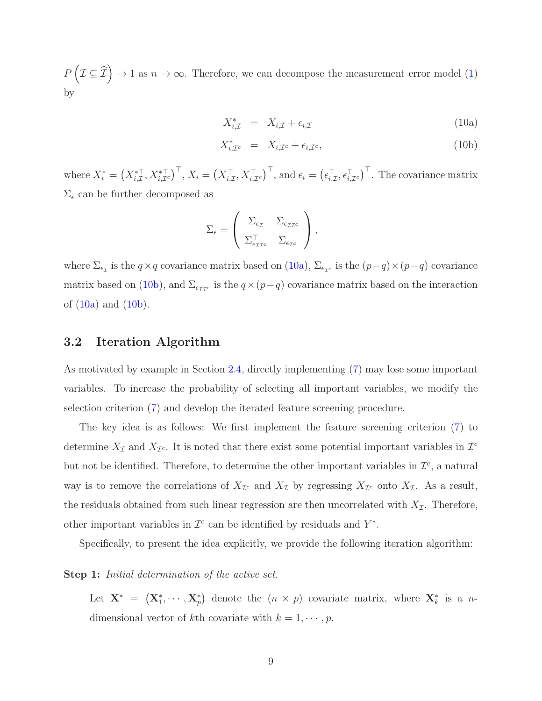$P\left(\right)$  $\bot \subseteq \bot$  $\Rightarrow$  1 as  $n \rightarrow \infty$ . Therefore, we can decompose the measurement error model [\(1\)](#page-3-1) by

<span id="page-9-2"></span><span id="page-9-0"></span>
$$
X_{i,\mathcal{I}}^* = X_{i,\mathcal{I}} + \epsilon_{i,\mathcal{I}} \tag{10a}
$$

$$
X_{i,\mathcal{I}^c}^* = X_{i,\mathcal{I}^c} + \epsilon_{i,\mathcal{I}^c},\tag{10b}
$$

where  $X_i^* = \left(X_{i,\mathcal{I}}^*, X_{i,\mathcal{I}^c}^{*\top}\right)^{\top}$ ,  $X_i = \left(X_{i,\mathcal{I}}^{\top}, X_{i,\mathcal{I}^c}^{\top}\right)^{\top}$ , and  $\epsilon_i = \left(\epsilon_{i,\mathcal{I}}^{\top}, \epsilon_{i,\mathcal{I}^c}^{\top}\right)^{\top}$ . The covariance matrix  $\Sigma_{\epsilon}$  can be further decomposed as

$$
\Sigma_{\epsilon} = \left( \begin{array}{cc} \Sigma_{\epsilon_{\mathcal{I}}} & \Sigma_{\epsilon_{\mathcal{I}\mathcal{I}^c}} \\ \Sigma_{\epsilon_{\mathcal{I}\mathcal{I}^c}}^{\top} & \Sigma_{\epsilon_{\mathcal{I}^c}} \end{array} \right),
$$

where  $\Sigma_{\epsilon_{\mathcal{I}}}$  is the  $q \times q$  covariance matrix based on [\(10a\)](#page-9-0),  $\Sigma_{\epsilon_{\mathcal{I}}c}$  is the  $(p-q) \times (p-q)$  covariance matrix based on [\(10b\)](#page-9-0), and  $\Sigma_{\epsilon_{\mathcal{I}Ic}}$  is the  $q \times (p-q)$  covariance matrix based on the interaction of  $(10a)$  and  $(10b)$ .

### <span id="page-9-1"></span>3.2 Iteration Algorithm

As motivated by example in Section [2.4,](#page-5-0) directly implementing [\(7\)](#page-8-0) may lose some important variables. To increase the probability of selecting all important variables, we modify the selection criterion [\(7\)](#page-8-0) and develop the iterated feature screening procedure.

The key idea is as follows: We first implement the feature screening criterion [\(7\)](#page-8-0) to determine  $X_{\mathcal{I}}$  and  $X_{\mathcal{I}^c}$ . It is noted that there exist some potential important variables in  $\mathcal{I}^c$ but not be identified. Therefore, to determine the other important variables in  $\mathcal{I}^c$ , a natural way is to remove the correlations of  $X_{\mathcal{I}^c}$  and  $X_{\mathcal{I}}$  by regressing  $X_{\mathcal{I}^c}$  onto  $X_{\mathcal{I}}$ . As a result, the residuals obtained from such linear regression are then uncorrelated with  $X_{\mathcal{I}}$ . Therefore, other important variables in  $\mathcal{I}^c$  can be identified by residuals and  $Y^*$ .

Specifically, to present the idea explicitly, we provide the following iteration algorithm:

#### Step 1: *Initial determination of the active set*.

Let  $\mathbf{X}^* = (\mathbf{X}_1^*, \cdots, \mathbf{X}_p^*)$  denote the  $(n \times p)$  covariate matrix, where  $\mathbf{X}_k^*$  is a ndimensional vector of kth covariate with  $k = 1, \dots, p$ .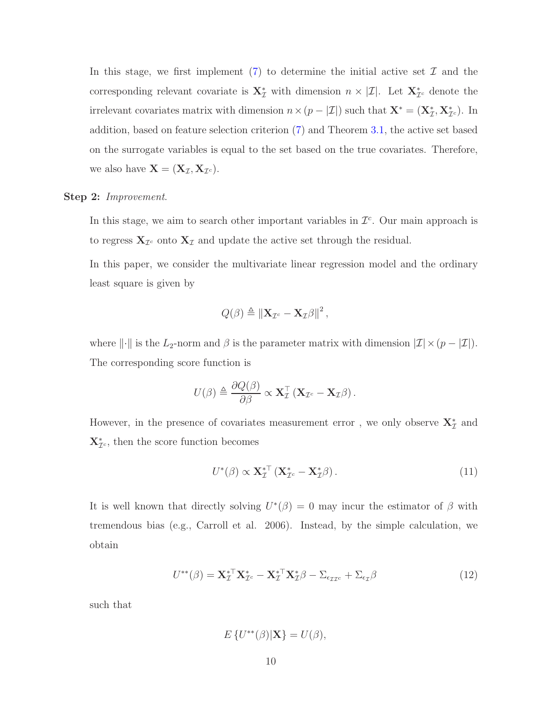In this stage, we first implement  $(7)$  to determine the initial active set  $\mathcal I$  and the corresponding relevant covariate is  $\mathbf{X}_{\mathcal{I}}^*$  with dimension  $n \times |\mathcal{I}|$ . Let  $\mathbf{X}_{\mathcal{I}^c}^*$  denote the irrelevant covariates matrix with dimension  $n \times (p - |\mathcal{I}|)$  such that  $\mathbf{X}^* = (\mathbf{X}_{\mathcal{I}}^*, \mathbf{X}_{\mathcal{I}^c}^*)$ . In addition, based on feature selection criterion [\(7\)](#page-8-0) and Theorem [3.1,](#page-8-1) the active set based on the surrogate variables is equal to the set based on the true covariates. Therefore, we also have  $\mathbf{X} = (\mathbf{X}_{\mathcal{I}}, \mathbf{X}_{\mathcal{I}^c}).$ 

#### Step 2: *Improvement*.

In this stage, we aim to search other important variables in  $\mathcal{I}^c$ . Our main approach is to regress  $\mathbf{X}_{\mathcal{I}^c}$  onto  $\mathbf{X}_{\mathcal{I}}$  and update the active set through the residual.

In this paper, we consider the multivariate linear regression model and the ordinary least square is given by

$$
Q(\beta) \triangleq \left\| \mathbf{X}_{\mathcal{I}^c} - \mathbf{X}_{\mathcal{I}} \beta \right\|^2,
$$

where  $\|\cdot\|$  is the L<sub>2</sub>-norm and  $\beta$  is the parameter matrix with dimension  $|\mathcal{I}| \times (p - |\mathcal{I}|)$ . The corresponding score function is

$$
U(\beta) \triangleq \frac{\partial Q(\beta)}{\partial \beta} \propto \mathbf{X}_{\mathcal{I}}^{\top} \left( \mathbf{X}_{\mathcal{I}^c} - \mathbf{X}_{\mathcal{I}} \beta \right).
$$

However, in the presence of covariates measurement error, we only observe  $\mathbf{X}_{\mathcal{I}}^*$  and  $\mathbf{X}_{\mathcal{I}^c}^*$ , then the score function becomes

<span id="page-10-1"></span>
$$
U^*(\beta) \propto \mathbf{X}_{\mathcal{I}}^{*\top} \left( \mathbf{X}_{\mathcal{I}^c}^* - \mathbf{X}_{\mathcal{I}}^* \beta \right). \tag{11}
$$

It is well known that directly solving  $U^*(\beta) = 0$  may incur the estimator of  $\beta$  with tremendous bias (e.g., Carroll et al. 2006). Instead, by the simple calculation, we obtain

<span id="page-10-0"></span>
$$
U^{**}(\beta) = \mathbf{X}_{\mathcal{I}}^{*T} \mathbf{X}_{\mathcal{I}^c}^* - \mathbf{X}_{\mathcal{I}}^{*T} \mathbf{X}_{\mathcal{I}}^* \beta - \Sigma_{\epsilon_{\mathcal{I} \mathcal{I}^c}} + \Sigma_{\epsilon_{\mathcal{I}}} \beta \tag{12}
$$

such that

$$
E\left\{U^{**}(\beta)|\mathbf{X}\right\}=U(\beta),
$$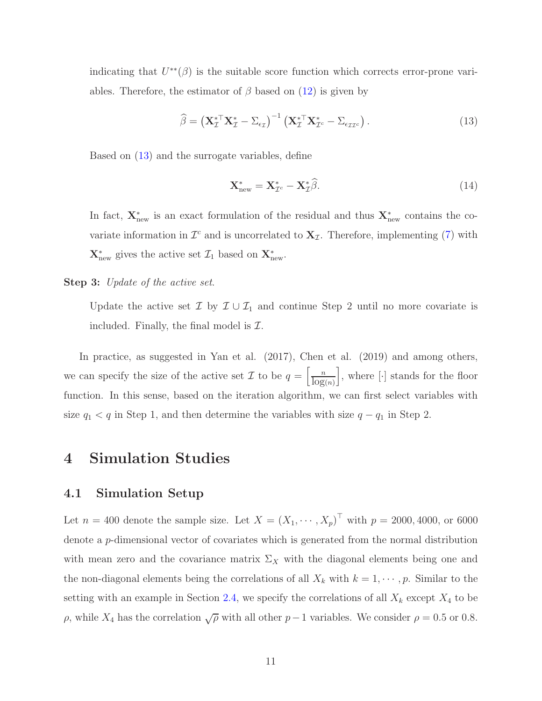indicating that  $U^{**}(\beta)$  is the suitable score function which corrects error-prone variables. Therefore, the estimator of  $\beta$  based on [\(12\)](#page-10-0) is given by

<span id="page-11-1"></span>
$$
\widehat{\beta} = \left(\mathbf{X}_{\mathcal{I}}^{*T} \mathbf{X}_{\mathcal{I}}^{*} - \Sigma_{\epsilon_{\mathcal{I}}}\right)^{-1} \left(\mathbf{X}_{\mathcal{I}}^{*T} \mathbf{X}_{\mathcal{I}^c}^{*} - \Sigma_{\epsilon_{\mathcal{I}\mathcal{I}^c}}\right). \tag{13}
$$

Based on [\(13\)](#page-11-1) and the surrogate variables, define

$$
\mathbf{X}_{\text{new}}^* = \mathbf{X}_{\mathcal{I}^c}^* - \mathbf{X}_{\mathcal{I}}^* \widehat{\beta}.\tag{14}
$$

In fact,  $\mathbf{X}_{\text{new}}^*$  is an exact formulation of the residual and thus  $\mathbf{X}_{\text{new}}^*$  contains the covariate information in  $\mathcal{I}^c$  and is uncorrelated to  $\mathbf{X}_{\mathcal{I}}$ . Therefore, implementing [\(7\)](#page-8-0) with  $\mathbf{X}^*_{\text{new}}$  gives the active set  $\mathcal{I}_1$  based on  $\mathbf{X}^*_{\text{new}}$ .

Step 3: *Update of the active set*.

Update the active set  $\mathcal{I}$  by  $\mathcal{I} \cup \mathcal{I}_1$  and continue Step 2 until no more covariate is included. Finally, the final model is  $\mathcal{I}$ .

In practice, as suggested in Yan et al. (2017), Chen et al. (2019) and among others, we can specify the size of the active set  $\mathcal I$  to be  $q = \left[\frac{n}{\log(n)}\right]$  $\Big],$  where  $[\cdot]$  stands for the floor function. In this sense, based on the iteration algorithm, we can first select variables with size  $q_1 < q$  in Step 1, and then determine the variables with size  $q - q_1$  in Step 2.

### <span id="page-11-0"></span>4 Simulation Studies

### 4.1 Simulation Setup

Let  $n = 400$  denote the sample size. Let  $X = (X_1, \dots, X_p)^T$  with  $p = 2000, 4000,$  or 6000 denote a p-dimensional vector of covariates which is generated from the normal distribution with mean zero and the covariance matrix  $\Sigma_X$  with the diagonal elements being one and the non-diagonal elements being the correlations of all  $X_k$  with  $k = 1, \dots, p$ . Similar to the setting with an example in Section [2.4,](#page-5-0) we specify the correlations of all  $X_k$  except  $X_4$  to be ρ, while  $X_4$  has the correlation  $\sqrt{\rho}$  with all other  $p-1$  variables. We consider  $\rho = 0.5$  or 0.8.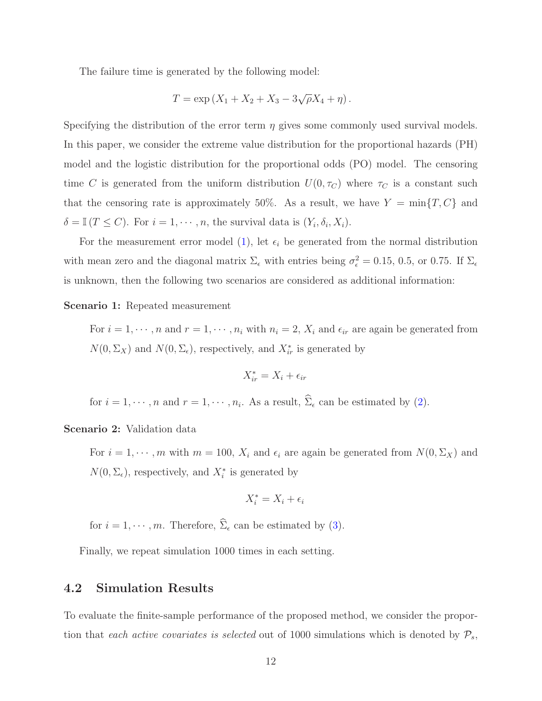The failure time is generated by the following model:

$$
T = \exp(X_1 + X_2 + X_3 - 3\sqrt{\rho}X_4 + \eta).
$$

Specifying the distribution of the error term  $\eta$  gives some commonly used survival models. In this paper, we consider the extreme value distribution for the proportional hazards (PH) model and the logistic distribution for the proportional odds (PO) model. The censoring time C is generated from the uniform distribution  $U(0, \tau_C)$  where  $\tau_C$  is a constant such that the censoring rate is approximately 50%. As a result, we have  $Y = \min\{T, C\}$  and  $\delta = \mathbb{I}(T \leq C)$ . For  $i = 1, \dots, n$ , the survival data is  $(Y_i, \delta_i, X_i)$ .

For the measurement error model [\(1\)](#page-3-1), let  $\epsilon_i$  be generated from the normal distribution with mean zero and the diagonal matrix  $\Sigma_{\epsilon}$  with entries being  $\sigma_{\epsilon}^2 = 0.15, 0.5$ , or 0.75. If  $\Sigma_{\epsilon}$ is unknown, then the following two scenarios are considered as additional information:

#### Scenario 1: Repeated measurement

For  $i = 1, \dots, n$  and  $r = 1, \dots, n_i$  with  $n_i = 2, X_i$  and  $\epsilon_{ir}$  are again be generated from  $N(0, \Sigma_X)$  and  $N(0, \Sigma_{\epsilon})$ , respectively, and  $X_{ir}^*$  is generated by

$$
X_{ir}^* = X_i + \epsilon_{ir}
$$

for  $i = 1, \dots, n$  and  $r = 1, \dots, n_i$ . As a result,  $\Sigma_{\epsilon}$  can be estimated by [\(2\)](#page-4-0).

#### Scenario 2: Validation data

For  $i = 1, \dots, m$  with  $m = 100$ ,  $X_i$  and  $\epsilon_i$  are again be generated from  $N(0, \Sigma_X)$  and  $N(0, \Sigma_{\epsilon})$ , respectively, and  $X_i^*$  is generated by

$$
X_i^* = X_i + \epsilon_i
$$

for  $i = 1, \dots, m$ . Therefore,  $\widehat{\Sigma}_{\epsilon}$  can be estimated by [\(3\)](#page-4-1).

Finally, we repeat simulation 1000 times in each setting.

### 4.2 Simulation Results

To evaluate the finite-sample performance of the proposed method, we consider the proportion that *each active covariates is selected* out of 1000 simulations which is denoted by  $P_s$ ,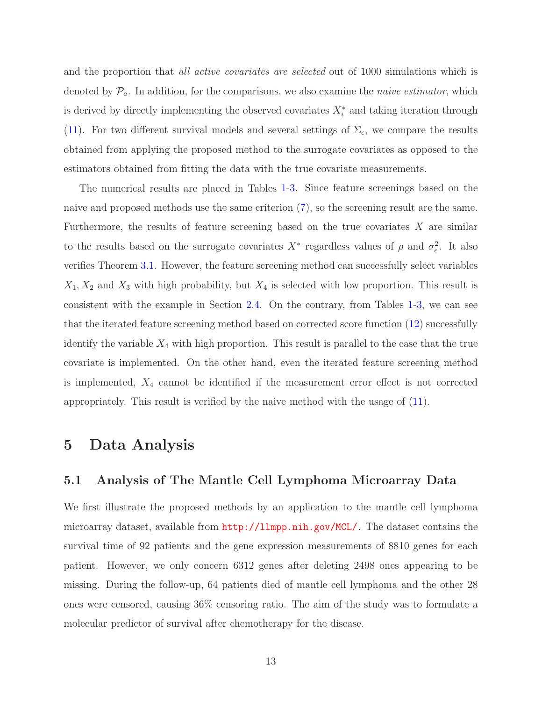and the proportion that *all active covariates are selected* out of 1000 simulations which is denoted by  $\mathcal{P}_a$ . In addition, for the comparisons, we also examine the *naive estimator*, which is derived by directly implementing the observed covariates  $X_i^*$  and taking iteration through [\(11\)](#page-10-1). For two different survival models and several settings of  $\Sigma_{\epsilon}$ , we compare the results obtained from applying the proposed method to the surrogate covariates as opposed to the estimators obtained from fitting the data with the true covariate measurements.

The numerical results are placed in Tables [1-](#page-21-0)[3.](#page-23-0) Since feature screenings based on the naive and proposed methods use the same criterion [\(7\)](#page-8-0), so the screening result are the same. Furthermore, the results of feature screening based on the true covariates  $X$  are similar to the results based on the surrogate covariates  $X^*$  regardless values of  $\rho$  and  $\sigma_{\epsilon}^2$ . It also verifies Theorem [3.1.](#page-8-1) However, the feature screening method can successfully select variables  $X_1, X_2$  and  $X_3$  with high probability, but  $X_4$  is selected with low proportion. This result is consistent with the example in Section [2.4.](#page-5-0) On the contrary, from Tables [1-](#page-21-0)[3,](#page-23-0) we can see that the iterated feature screening method based on corrected score function [\(12\)](#page-10-0) successfully identify the variable  $X_4$  with high proportion. This result is parallel to the case that the true covariate is implemented. On the other hand, even the iterated feature screening method is implemented,  $X_4$  cannot be identified if the measurement error effect is not corrected appropriately. This result is verified by the naive method with the usage of [\(11\)](#page-10-1).

### <span id="page-13-1"></span><span id="page-13-0"></span>5 Data Analysis

#### 5.1 Analysis of The Mantle Cell Lymphoma Microarray Data

We first illustrate the proposed methods by an application to the mantle cell lymphoma microarray dataset, available from <http://llmpp.nih.gov/MCL/>. The dataset contains the survival time of 92 patients and the gene expression measurements of 8810 genes for each patient. However, we only concern 6312 genes after deleting 2498 ones appearing to be missing. During the follow-up, 64 patients died of mantle cell lymphoma and the other 28 ones were censored, causing 36% censoring ratio. The aim of the study was to formulate a molecular predictor of survival after chemotherapy for the disease.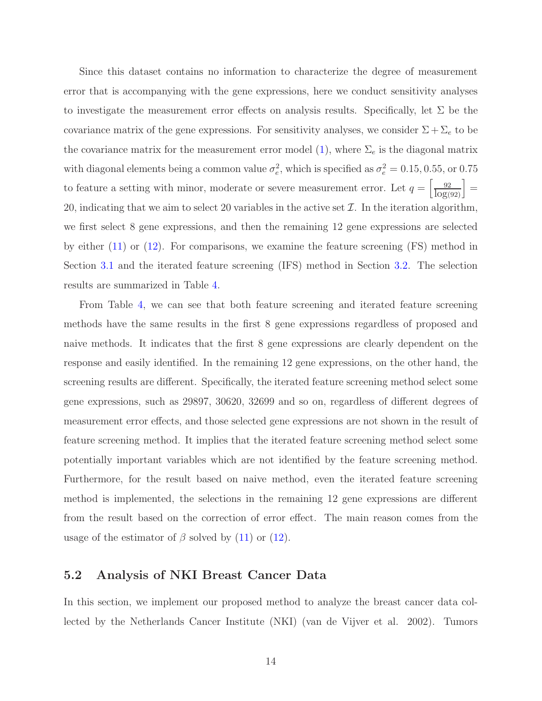Since this dataset contains no information to characterize the degree of measurement error that is accompanying with the gene expressions, here we conduct sensitivity analyses to investigate the measurement error effects on analysis results. Specifically, let  $\Sigma$  be the covariance matrix of the gene expressions. For sensitivity analyses, we consider  $\Sigma + \Sigma_e$  to be the covariance matrix for the measurement error model [\(1\)](#page-3-1), where  $\Sigma_e$  is the diagonal matrix with diagonal elements being a common value  $\sigma_e^2$ , which is specified as  $\sigma_e^2 = 0.15, 0.55$ , or 0.75 to feature a setting with minor, moderate or severe measurement error. Let  $q = \left[\frac{92}{\log(92)}\right] =$ 20, indicating that we aim to select 20 variables in the active set  $\mathcal{I}$ . In the iteration algorithm, we first select 8 gene expressions, and then the remaining 12 gene expressions are selected by either [\(11\)](#page-10-1) or [\(12\)](#page-10-0). For comparisons, we examine the feature screening (FS) method in Section [3.1](#page-6-1) and the iterated feature screening (IFS) method in Section [3.2.](#page-9-1) The selection results are summarized in Table [4.](#page-24-0)

From Table [4,](#page-24-0) we can see that both feature screening and iterated feature screening methods have the same results in the first 8 gene expressions regardless of proposed and naive methods. It indicates that the first 8 gene expressions are clearly dependent on the response and easily identified. In the remaining 12 gene expressions, on the other hand, the screening results are different. Specifically, the iterated feature screening method select some gene expressions, such as 29897, 30620, 32699 and so on, regardless of different degrees of measurement error effects, and those selected gene expressions are not shown in the result of feature screening method. It implies that the iterated feature screening method select some potentially important variables which are not identified by the feature screening method. Furthermore, for the result based on naive method, even the iterated feature screening method is implemented, the selections in the remaining 12 gene expressions are different from the result based on the correction of error effect. The main reason comes from the usage of the estimator of  $\beta$  solved by [\(11\)](#page-10-1) or [\(12\)](#page-10-0).

### 5.2 Analysis of NKI Breast Cancer Data

In this section, we implement our proposed method to analyze the breast cancer data collected by the Netherlands Cancer Institute (NKI) (van de Vijver et al. 2002). Tumors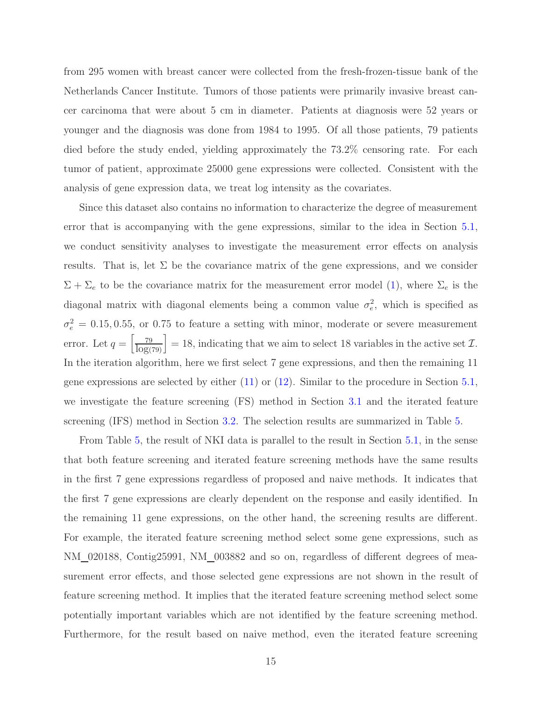from 295 women with breast cancer were collected from the fresh-frozen-tissue bank of the Netherlands Cancer Institute. Tumors of those patients were primarily invasive breast cancer carcinoma that were about 5 cm in diameter. Patients at diagnosis were 52 years or younger and the diagnosis was done from 1984 to 1995. Of all those patients, 79 patients died before the study ended, yielding approximately the 73.2% censoring rate. For each tumor of patient, approximate 25000 gene expressions were collected. Consistent with the analysis of gene expression data, we treat log intensity as the covariates.

Since this dataset also contains no information to characterize the degree of measurement error that is accompanying with the gene expressions, similar to the idea in Section [5.1,](#page-13-1) we conduct sensitivity analyses to investigate the measurement error effects on analysis results. That is, let  $\Sigma$  be the covariance matrix of the gene expressions, and we consider  $\Sigma + \Sigma_e$  to be the covariance matrix for the measurement error model [\(1\)](#page-3-1), where  $\Sigma_e$  is the diagonal matrix with diagonal elements being a common value  $\sigma_e^2$ , which is specified as  $\sigma_e^2 = 0.15, 0.55$ , or 0.75 to feature a setting with minor, moderate or severe measurement error. Let  $q = \left[\frac{79}{\log(79)}\right] = 18$ , indicating that we aim to select 18 variables in the active set  $\mathcal{I}$ . In the iteration algorithm, here we first select 7 gene expressions, and then the remaining 11 gene expressions are selected by either [\(11\)](#page-10-1) or [\(12\)](#page-10-0). Similar to the procedure in Section [5.1,](#page-13-1) we investigate the feature screening (FS) method in Section [3.1](#page-6-1) and the iterated feature screening (IFS) method in Section [3.2.](#page-9-1) The selection results are summarized in Table [5.](#page-25-0)

From Table [5,](#page-25-0) the result of NKI data is parallel to the result in Section [5.1,](#page-13-1) in the sense that both feature screening and iterated feature screening methods have the same results in the first 7 gene expressions regardless of proposed and naive methods. It indicates that the first 7 gene expressions are clearly dependent on the response and easily identified. In the remaining 11 gene expressions, on the other hand, the screening results are different. For example, the iterated feature screening method select some gene expressions, such as NM 020188, Contig25991, NM 003882 and so on, regardless of different degrees of measurement error effects, and those selected gene expressions are not shown in the result of feature screening method. It implies that the iterated feature screening method select some potentially important variables which are not identified by the feature screening method. Furthermore, for the result based on naive method, even the iterated feature screening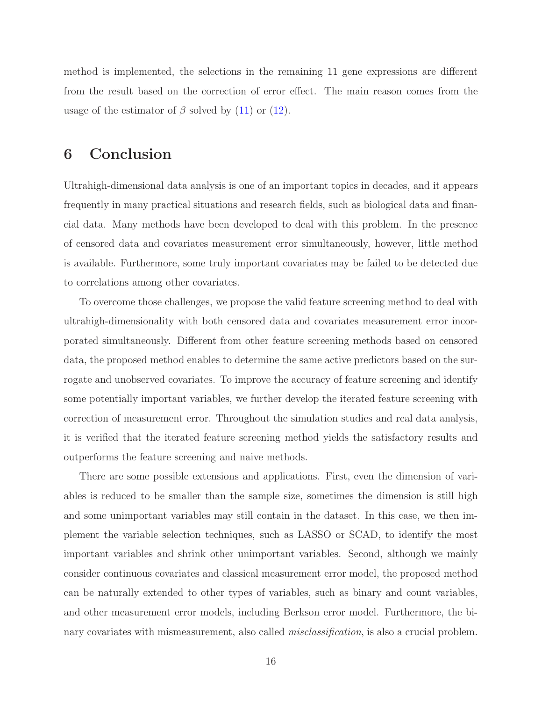method is implemented, the selections in the remaining 11 gene expressions are different from the result based on the correction of error effect. The main reason comes from the usage of the estimator of  $\beta$  solved by [\(11\)](#page-10-1) or [\(12\)](#page-10-0).

# <span id="page-16-0"></span>6 Conclusion

Ultrahigh-dimensional data analysis is one of an important topics in decades, and it appears frequently in many practical situations and research fields, such as biological data and financial data. Many methods have been developed to deal with this problem. In the presence of censored data and covariates measurement error simultaneously, however, little method is available. Furthermore, some truly important covariates may be failed to be detected due to correlations among other covariates.

To overcome those challenges, we propose the valid feature screening method to deal with ultrahigh-dimensionality with both censored data and covariates measurement error incorporated simultaneously. Different from other feature screening methods based on censored data, the proposed method enables to determine the same active predictors based on the surrogate and unobserved covariates. To improve the accuracy of feature screening and identify some potentially important variables, we further develop the iterated feature screening with correction of measurement error. Throughout the simulation studies and real data analysis, it is verified that the iterated feature screening method yields the satisfactory results and outperforms the feature screening and naive methods.

There are some possible extensions and applications. First, even the dimension of variables is reduced to be smaller than the sample size, sometimes the dimension is still high and some unimportant variables may still contain in the dataset. In this case, we then implement the variable selection techniques, such as LASSO or SCAD, to identify the most important variables and shrink other unimportant variables. Second, although we mainly consider continuous covariates and classical measurement error model, the proposed method can be naturally extended to other types of variables, such as binary and count variables, and other measurement error models, including Berkson error model. Furthermore, the binary covariates with mismeasurement, also called *misclassification*, is also a crucial problem.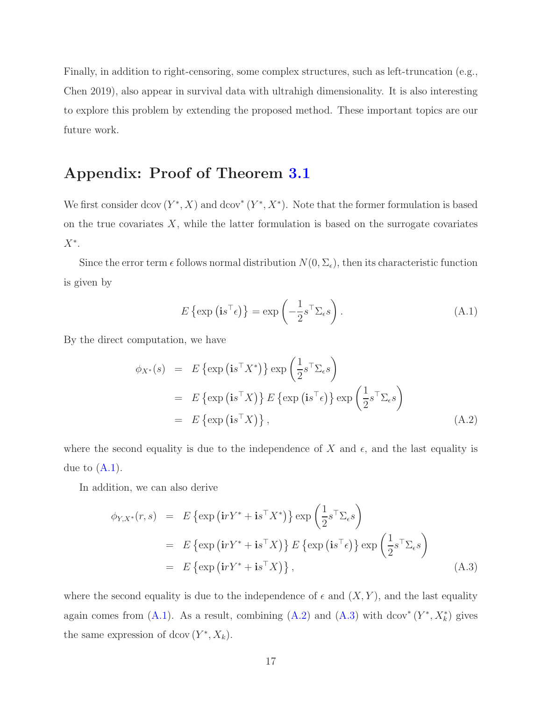Finally, in addition to right-censoring, some complex structures, such as left-truncation (e.g., Chen 2019), also appear in survival data with ultrahigh dimensionality. It is also interesting to explore this problem by extending the proposed method. These important topics are our future work.

# Appendix: Proof of Theorem [3.1](#page-8-1)

We first consider dcov  $(Y^*, X)$  and dcov<sup>\*</sup>  $(Y^*, X^*)$ . Note that the former formulation is based on the true covariates  $X$ , while the latter formulation is based on the surrogate covariates  $X^*$ .

Since the error term  $\epsilon$  follows normal distribution  $N(0, \Sigma_{\epsilon})$ , then its characteristic function is given by

<span id="page-17-0"></span>
$$
E\left\{\exp\left(i s^{\top} \epsilon\right)\right\} = \exp\left(-\frac{1}{2} s^{\top} \Sigma_{\epsilon} s\right). \tag{A.1}
$$

By the direct computation, we have

<span id="page-17-1"></span>
$$
\phi_{X^*}(s) = E \{ \exp \left( \mathbf{i} s^{\top} X^* \right) \} \exp \left( \frac{1}{2} s^{\top} \Sigma_{\epsilon} s \right)
$$
  
=  $E \{ \exp \left( \mathbf{i} s^{\top} X \right) \} E \{ \exp \left( \mathbf{i} s^{\top} \epsilon \right) \} \exp \left( \frac{1}{2} s^{\top} \Sigma_{\epsilon} s \right)$   
=  $E \{ \exp \left( \mathbf{i} s^{\top} X \right) \},$  (A.2)

where the second equality is due to the independence of X and  $\epsilon$ , and the last equality is due to  $(A.1)$ .

In addition, we can also derive

<span id="page-17-2"></span>
$$
\phi_{Y,X^*}(r,s) = E \{ \exp \left( i r Y^* + i s^\top X^* \right) \} \exp \left( \frac{1}{2} s^\top \Sigma_\epsilon s \right)
$$
  
=  $E \{ \exp \left( i r Y^* + i s^\top X \right) \} E \{ \exp \left( i s^\top \epsilon \right) \} \exp \left( \frac{1}{2} s^\top \Sigma_\epsilon s \right)$   
=  $E \{ \exp \left( i r Y^* + i s^\top X \right) \},$  (A.3)

where the second equality is due to the independence of  $\epsilon$  and  $(X, Y)$ , and the last equality again comes from  $(A.1)$ . As a result, combining  $(A.2)$  and  $(A.3)$  with dcov<sup>\*</sup>  $(Y^*, X^*_k)$  gives the same expression of dcov  $(Y^*, X_k)$ .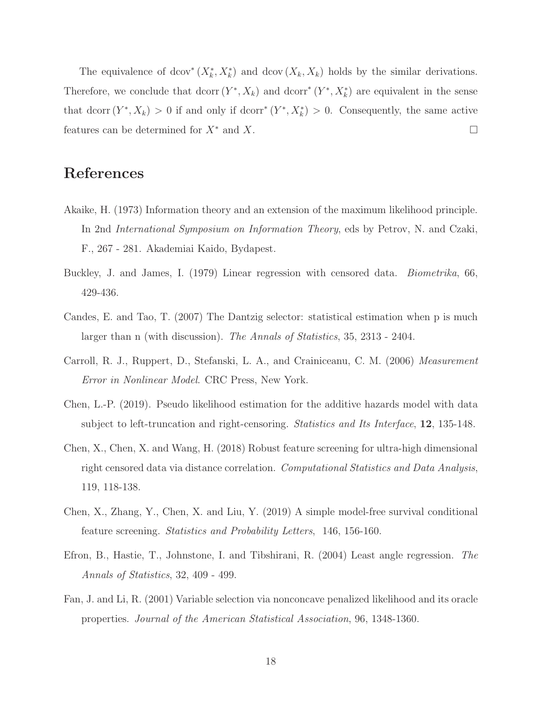The equivalence of dcov<sup>\*</sup>  $(X_k^*, X_k^*)$  and dcov  $(X_k, X_k)$  holds by the similar derivations. Therefore, we conclude that dcorr  $(Y^*, X_k)$  and dcorr<sup>\*</sup>  $(Y^*, X_k^*)$  are equivalent in the sense that dcorr  $(Y^*, X_k) > 0$  if and only if dcorr<sup>\*</sup>  $(Y^*, X_k^*) > 0$ . Consequently, the same active features can be determined for  $X^*$  and X.

# References

- Akaike, H. (1973) Information theory and an extension of the maximum likelihood principle. In 2nd *International Symposium on Information Theory*, eds by Petrov, N. and Czaki, F., 267 - 281. Akademiai Kaido, Bydapest.
- Buckley, J. and James, I. (1979) Linear regression with censored data. *Biometrika*, 66, 429-436.
- Candes, E. and Tao, T. (2007) The Dantzig selector: statistical estimation when p is much larger than n (with discussion). *The Annals of Statistics*, 35, 2313 - 2404.
- Carroll, R. J., Ruppert, D., Stefanski, L. A., and Crainiceanu, C. M. (2006) *Measurement Error in Nonlinear Model*. CRC Press, New York.
- Chen, L.-P. (2019). Pseudo likelihood estimation for the additive hazards model with data subject to left-truncation and right-censoring. *Statistics and Its Interface*, 12, 135-148.
- Chen, X., Chen, X. and Wang, H. (2018) Robust feature screening for ultra-high dimensional right censored data via distance correlation. *Computational Statistics and Data Analysis*, 119, 118-138.
- Chen, X., Zhang, Y., Chen, X. and Liu, Y. (2019) A simple model-free survival conditional feature screening. *Statistics and Probability Letters*, 146, 156-160.
- Efron, B., Hastie, T., Johnstone, I. and Tibshirani, R. (2004) Least angle regression. *The Annals of Statistics*, 32, 409 - 499.
- Fan, J. and Li, R. (2001) Variable selection via nonconcave penalized likelihood and its oracle properties. *Journal of the American Statistical Association*, 96, 1348-1360.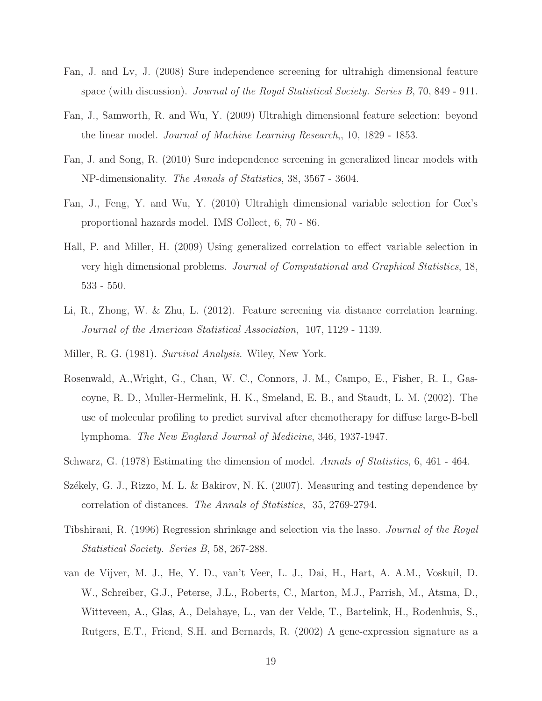- Fan, J. and Lv, J. (2008) Sure independence screening for ultrahigh dimensional feature space (with discussion). *Journal of the Royal Statistical Society. Series B*, 70, 849 - 911.
- Fan, J., Samworth, R. and Wu, Y. (2009) Ultrahigh dimensional feature selection: beyond the linear model. *Journal of Machine Learning Research*,, 10, 1829 - 1853.
- Fan, J. and Song, R. (2010) Sure independence screening in generalized linear models with NP-dimensionality. *The Annals of Statistics*, 38, 3567 - 3604.
- Fan, J., Feng, Y. and Wu, Y. (2010) Ultrahigh dimensional variable selection for Cox's proportional hazards model. IMS Collect, 6, 70 - 86.
- Hall, P. and Miller, H. (2009) Using generalized correlation to effect variable selection in very high dimensional problems. *Journal of Computational and Graphical Statistics*, 18, 533 - 550.
- Li, R., Zhong, W. & Zhu, L. (2012). Feature screening via distance correlation learning. *Journal of the American Statistical Association*, 107, 1129 - 1139.
- Miller, R. G. (1981). *Survival Analysis*. Wiley, New York.
- Rosenwald, A.,Wright, G., Chan, W. C., Connors, J. M., Campo, E., Fisher, R. I., Gascoyne, R. D., Muller-Hermelink, H. K., Smeland, E. B., and Staudt, L. M. (2002). The use of molecular profiling to predict survival after chemotherapy for diffuse large-B-bell lymphoma. *The New England Journal of Medicine*, 346, 1937-1947.
- Schwarz, G. (1978) Estimating the dimension of model. *Annals of Statistics*, 6, 461 464.
- Székely, G. J., Rizzo, M. L. & Bakirov, N. K. (2007). Measuring and testing dependence by correlation of distances. *The Annals of Statistics*, 35, 2769-2794.
- Tibshirani, R. (1996) Regression shrinkage and selection via the lasso. *Journal of the Royal Statistical Society. Series B*, 58, 267-288.
- van de Vijver, M. J., He, Y. D., van't Veer, L. J., Dai, H., Hart, A. A.M., Voskuil, D. W., Schreiber, G.J., Peterse, J.L., Roberts, C., Marton, M.J., Parrish, M., Atsma, D., Witteveen, A., Glas, A., Delahaye, L., van der Velde, T., Bartelink, H., Rodenhuis, S., Rutgers, E.T., Friend, S.H. and Bernards, R. (2002) A gene-expression signature as a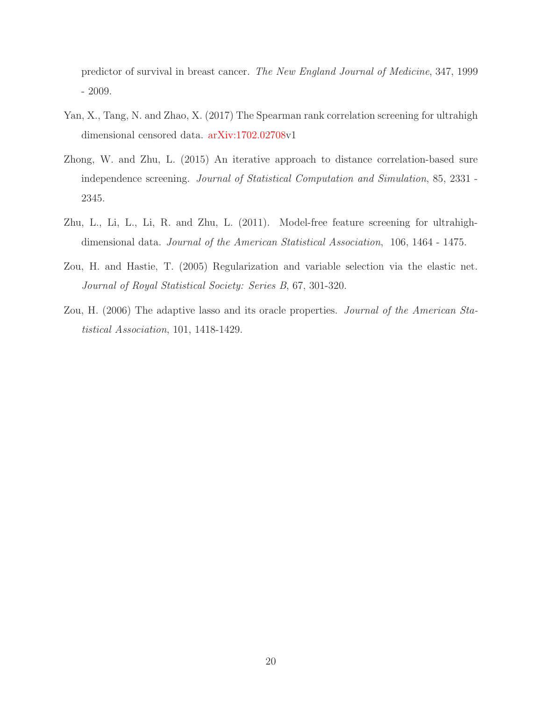predictor of survival in breast cancer. *The New England Journal of Medicine*, 347, 1999 - 2009.

- Yan, X., Tang, N. and Zhao, X. (2017) The Spearman rank correlation screening for ultrahigh dimensional censored data. [arXiv:1702.02708v](http://arxiv.org/abs/1702.02708)1
- Zhong, W. and Zhu, L. (2015) An iterative approach to distance correlation-based sure independence screening. *Journal of Statistical Computation and Simulation*, 85, 2331 - 2345.
- Zhu, L., Li, L., Li, R. and Zhu, L. (2011). Model-free feature screening for ultrahighdimensional data. *Journal of the American Statistical Association*, 106, 1464 - 1475.
- Zou, H. and Hastie, T. (2005) Regularization and variable selection via the elastic net. *Journal of Royal Statistical Society: Series B*, 67, 301-320.
- Zou, H. (2006) The adaptive lasso and its oracle properties. *Journal of the American Statistical Association*, 101, 1418-1429.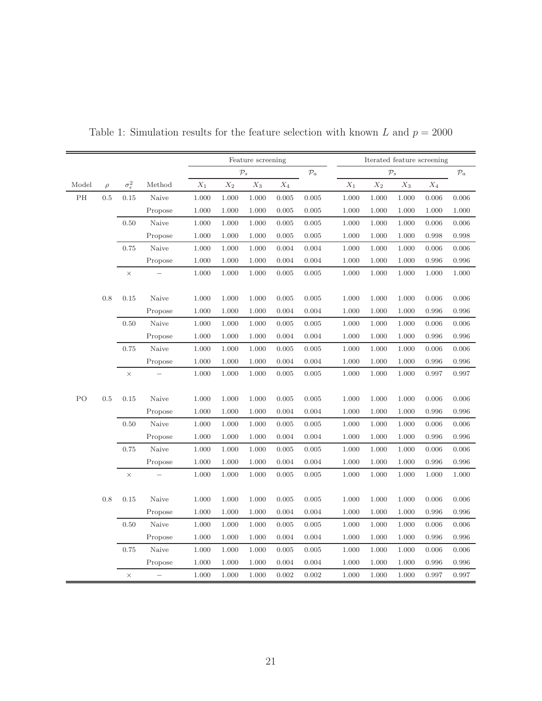|       |        |                       |         |                 | Feature screening |                 |                 | Iterated feature screening |       |                 |                 |                 |       |
|-------|--------|-----------------------|---------|-----------------|-------------------|-----------------|-----------------|----------------------------|-------|-----------------|-----------------|-----------------|-------|
|       |        |                       |         |                 | $\mathcal{P}_s$   |                 | $\mathcal{P}_a$ | $\mathcal{P}_s$            |       | $\mathcal{P}_a$ |                 |                 |       |
| Model | $\rho$ | $\sigma_{\epsilon}^2$ | Method  | $\mathcal{X}_1$ | $\mathcal{X}_2$   | $\mathcal{X}_3$ | $\mathcal{X}_4$ |                            | $X_1$ | $\mathcal{X}_2$ | $\mathcal{X}_3$ | $\mathcal{X}_4$ |       |
| PH    | 0.5    | $0.15\,$              | Naive   | 1.000           | 1.000             | 1.000           | 0.005           | 0.005                      | 1.000 | 1.000           | 1.000           | 0.006           | 0.006 |
|       |        |                       | Propose | 1.000           | 1.000             | 1.000           | 0.005           | 0.005                      | 1.000 | 1.000           | 1.000           | 1.000           | 1.000 |
|       |        | $0.50\,$              | Naive   | 1.000           | 1.000             | 1.000           | 0.005           | 0.005                      | 1.000 | 1.000           | 1.000           | 0.006           | 0.006 |
|       |        |                       | Propose | 1.000           | 1.000             | 1.000           | 0.005           | 0.005                      | 1.000 | 1.000           | 1.000           | 0.998           | 0.998 |
|       |        | 0.75                  | Naive   | 1.000           | 1.000             | 1.000           | 0.004           | 0.004                      | 1.000 | 1.000           | 1.000           | 0.006           | 0.006 |
|       |        |                       | Propose | 1.000           | 1.000             | 1.000           | 0.004           | 0.004                      | 1.000 | 1.000           | 1.000           | 0.996           | 0.996 |
|       |        | $\times$              |         | 1.000           | 1.000             | 1.000           | 0.005           | 0.005                      | 1.000 | 1.000           | 1.000           | 1.000           | 1.000 |
|       |        |                       |         |                 |                   |                 |                 |                            |       |                 |                 |                 |       |
|       | 0.8    | 0.15                  | Naive   | 1.000           | 1.000             | 1.000           | 0.005           | 0.005                      | 1.000 | 1.000           | 1.000           | 0.006           | 0.006 |
|       |        |                       | Propose | 1.000           | 1.000             | 1.000           | 0.004           | 0.004                      | 1.000 | 1.000           | 1.000           | 0.996           | 0.996 |
|       |        | 0.50                  | Naive   | 1.000           | 1.000             | 1.000           | 0.005           | 0.005                      | 1.000 | 1.000           | 1.000           | 0.006           | 0.006 |
|       |        |                       | Propose | 1.000           | 1.000             | 1.000           | 0.004           | 0.004                      | 1.000 | 1.000           | 1.000           | 0.996           | 0.996 |
|       |        | 0.75                  | Naive   | 1.000           | 1.000             | 1.000           | 0.005           | 0.005                      | 1.000 | 1.000           | 1.000           | 0.006           | 0.006 |
|       |        |                       | Propose | 1.000           | 1.000             | 1.000           | 0.004           | 0.004                      | 1.000 | 1.000           | 1.000           | 0.996           | 0.996 |
|       |        | $\times$              |         | 1.000           | 1.000             | 1.000           | 0.005           | 0.005                      | 1.000 | 1.000           | 1.000           | 0.997           | 0.997 |
|       |        |                       |         |                 |                   |                 |                 |                            |       |                 |                 |                 |       |
| PO    | 0.5    | 0.15                  | Naive   | 1.000           | 1.000             | 1.000           | 0.005           | 0.005                      | 1.000 | 1.000           | 1.000           | 0.006           | 0.006 |
|       |        |                       | Propose | 1.000           | 1.000             | 1.000           | 0.004           | 0.004                      | 1.000 | 1.000           | 1.000           | 0.996           | 0.996 |
|       |        | $0.50\,$              | Naive   | 1.000           | 1.000             | 1.000           | 0.005           | 0.005                      | 1.000 | 1.000           | 1.000           | 0.006           | 0.006 |
|       |        |                       | Propose | 1.000           | 1.000             | 1.000           | 0.004           | 0.004                      | 1.000 | 1.000           | 1.000           | 0.996           | 0.996 |
|       |        | 0.75                  | Naive   | 1.000           | 1.000             | 1.000           | 0.005           | 0.005                      | 1.000 | 1.000           | 1.000           | 0.006           | 0.006 |
|       |        |                       | Propose | 1.000           | 1.000             | 1.000           | 0.004           | 0.004                      | 1.000 | 1.000           | 1.000           | 0.996           | 0.996 |
|       |        | $\times$              |         | 1.000           | 1.000             | 1.000           | 0.005           | $0.005\,$                  | 1.000 | 1.000           | 1.000           | 1.000           | 1.000 |
|       |        |                       |         |                 |                   |                 |                 |                            |       |                 |                 |                 |       |
|       | 0.8    | $0.15\,$              | Naive   | 1.000           | 1.000             | 1.000           | 0.005           | 0.005                      | 1.000 | 1.000           | 1.000           | 0.006           | 0.006 |
|       |        |                       | Propose | 1.000           | 1.000             | 1.000           | 0.004           | 0.004                      | 1.000 | 1.000           | 1.000           | 0.996           | 0.996 |
|       |        | 0.50                  | Naive   | 1.000           | 1.000             | 1.000           | 0.005           | 0.005                      | 1.000 | 1.000           | 1.000           | 0.006           | 0.006 |
|       |        |                       | Propose | 1.000           | 1.000             | 1.000           | 0.004           | 0.004                      | 1.000 | 1.000           | 1.000           | 0.996           | 0.996 |
|       |        | 0.75                  | Naive   | 1.000           | 1.000             | 1.000           | 0.005           | 0.005                      | 1.000 | 1.000           | 1.000           | 0.006           | 0.006 |
|       |        |                       | Propose | 1.000           | 1.000             | 1.000           | 0.004           | 0.004                      | 1.000 | 1.000           | 1.000           | 0.996           | 0.996 |
|       |        | $\times$              |         | 1.000           | 1.000             | 1.000           | 0.002           | 0.002                      | 1.000 | 1.000           | 1.000           | 0.997           | 0.997 |

<span id="page-21-0"></span>Table 1: Simulation results for the feature selection with known  $L$  and  $p = 2000$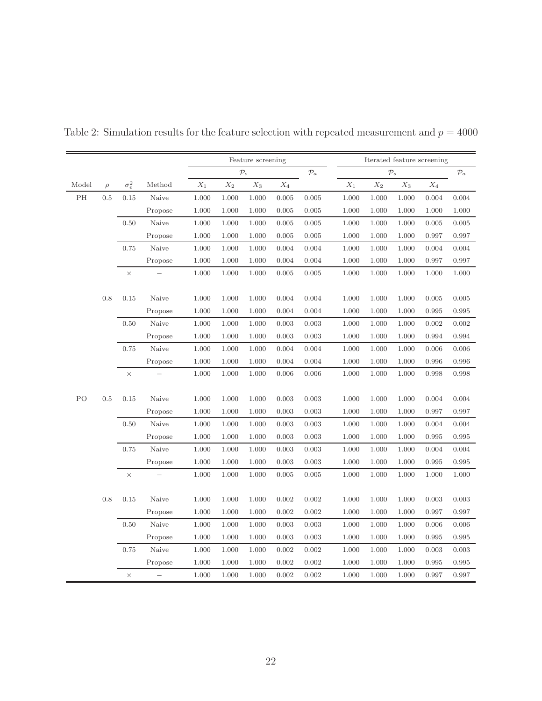|       |         |                       |         | Feature screening |                 |       |                 | Iterated feature screening |                 |                 |       |                 |           |
|-------|---------|-----------------------|---------|-------------------|-----------------|-------|-----------------|----------------------------|-----------------|-----------------|-------|-----------------|-----------|
|       |         |                       |         |                   | $\mathcal{P}_s$ |       | $\mathcal{P}_a$ | $\mathcal{P}_s$            |                 | $\mathcal{P}_a$ |       |                 |           |
| Model | $\rho$  | $\sigma_{\epsilon}^2$ | Method  | $\mathcal{X}_1$   | $\mathcal{X}_2$ | $X_3$ | $\mathcal{X}_4$ |                            | $\mathcal{X}_1$ | $\mathcal{X}_2$ | $X_3$ | $\mathcal{X}_4$ |           |
| PH    | $0.5\,$ | 0.15                  | Naive   | 1.000             | 1.000           | 1.000 | 0.005           | 0.005                      | 1.000           | 1.000           | 1.000 | 0.004           | 0.004     |
|       |         |                       | Propose | 1.000             | 1.000           | 1.000 | 0.005           | $0.005\,$                  | 1.000           | 1.000           | 1.000 | 1.000           | 1.000     |
|       |         | 0.50                  | Naive   | 1.000             | 1.000           | 1.000 | 0.005           | 0.005                      | 1.000           | 1.000           | 1.000 | 0.005           | 0.005     |
|       |         |                       | Propose | 1.000             | 1.000           | 1.000 | 0.005           | 0.005                      | 1.000           | 1.000           | 1.000 | 0.997           | 0.997     |
|       |         | 0.75                  | Naive   | 1.000             | 1.000           | 1.000 | 0.004           | 0.004                      | 1.000           | 1.000           | 1.000 | 0.004           | 0.004     |
|       |         |                       | Propose | 1.000             | 1.000           | 1.000 | 0.004           | 0.004                      | 1.000           | 1.000           | 1.000 | 0.997           | 0.997     |
|       |         | $\times$              |         | 1.000             | 1.000           | 1.000 | 0.005           | 0.005                      | 1.000           | 1.000           | 1.000 | 1.000           | $1.000\,$ |
|       |         |                       |         |                   |                 |       |                 |                            |                 |                 |       |                 |           |
|       | 0.8     | 0.15                  | Naive   | 1.000             | 1.000           | 1.000 | 0.004           | 0.004                      | 1.000           | 1.000           | 1.000 | 0.005           | 0.005     |
|       |         |                       | Propose | 1.000             | 1.000           | 1.000 | 0.004           | 0.004                      | 1.000           | 1.000           | 1.000 | 0.995           | 0.995     |
|       |         | 0.50                  | Naive   | 1.000             | 1.000           | 1.000 | 0.003           | 0.003                      | 1.000           | 1.000           | 1.000 | 0.002           | 0.002     |
|       |         |                       | Propose | 1.000             | 1.000           | 1.000 | 0.003           | 0.003                      | 1.000           | 1.000           | 1.000 | 0.994           | 0.994     |
|       |         | 0.75                  | Naive   | 1.000             | 1.000           | 1.000 | 0.004           | 0.004                      | 1.000           | 1.000           | 1.000 | 0.006           | 0.006     |
|       |         |                       | Propose | 1.000             | 1.000           | 1.000 | 0.004           | 0.004                      | 1.000           | 1.000           | 1.000 | 0.996           | 0.996     |
|       |         | $\times$              |         | 1.000             | 1.000           | 1.000 | 0.006           | 0.006                      | 1.000           | 1.000           | 1.000 | 0.998           | 0.998     |
|       |         |                       |         |                   |                 |       |                 |                            |                 |                 |       |                 |           |
| PO    | 0.5     | 0.15                  | Naive   | 1.000             | 1.000           | 1.000 | 0.003           | 0.003                      | 1.000           | 1.000           | 1.000 | 0.004           | 0.004     |
|       |         |                       | Propose | 1.000             | 1.000           | 1.000 | 0.003           | 0.003                      | 1.000           | 1.000           | 1.000 | 0.997           | 0.997     |
|       |         | 0.50                  | Naive   | 1.000             | 1.000           | 1.000 | 0.003           | 0.003                      | 1.000           | 1.000           | 1.000 | 0.004           | 0.004     |
|       |         |                       | Propose | 1.000             | 1.000           | 1.000 | 0.003           | 0.003                      | 1.000           | 1.000           | 1.000 | 0.995           | 0.995     |
|       |         | 0.75                  | Naive   | 1.000             | 1.000           | 1.000 | 0.003           | 0.003                      | 1.000           | 1.000           | 1.000 | 0.004           | 0.004     |
|       |         |                       | Propose | 1.000             | 1.000           | 1.000 | 0.003           | 0.003                      | 1.000           | 1.000           | 1.000 | 0.995           | 0.995     |
|       |         | $\times$              |         | 1.000             | 1.000           | 1.000 | 0.005           | 0.005                      | 1.000           | 1.000           | 1.000 | 1.000           | 1.000     |
|       |         |                       |         |                   |                 |       |                 |                            |                 |                 |       |                 |           |
|       | 0.8     | 0.15                  | Naive   | 1.000             | 1.000           | 1.000 | 0.002           | 0.002                      | 1.000           | 1.000           | 1.000 | 0.003           | 0.003     |
|       |         |                       | Propose | 1.000             | 1.000           | 1.000 | 0.002           | $0.002\,$                  | 1.000           | 1.000           | 1.000 | 0.997           | 0.997     |
|       |         | 0.50                  | Naive   | 1.000             | 1.000           | 1.000 | 0.003           | 0.003                      | 1.000           | 1.000           | 1.000 | 0.006           | 0.006     |
|       |         |                       | Propose | 1.000             | 1.000           | 1.000 | 0.003           | 0.003                      | 1.000           | 1.000           | 1.000 | 0.995           | 0.995     |
|       |         | 0.75                  | Naive   | 1.000             | 1.000           | 1.000 | 0.002           | 0.002                      | 1.000           | 1.000           | 1.000 | 0.003           | 0.003     |
|       |         |                       | Propose | 1.000             | 1.000           | 1.000 | 0.002           | 0.002                      | 1.000           | 1.000           | 1.000 | 0.995           | 0.995     |
|       |         | $\times$              |         | 1.000             | 1.000           | 1.000 | 0.002           | 0.002                      | 1.000           | 1.000           | 1.000 | 0.997           | 0.997     |

Table 2: Simulation results for the feature selection with repeated measurement and  $p = 4000$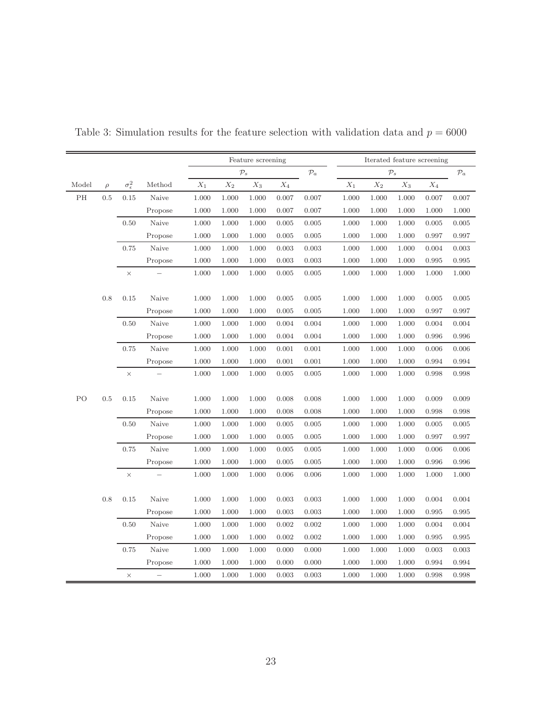|       |        |                       |         | Feature screening |                 |                 |                 | Iterated feature screening |                 |                 |                  |                 |           |
|-------|--------|-----------------------|---------|-------------------|-----------------|-----------------|-----------------|----------------------------|-----------------|-----------------|------------------|-----------------|-----------|
|       |        |                       |         | $\mathcal{P}_s$   |                 |                 | $\mathcal{P}_a$ | $\mathcal{P}_s$            |                 |                 | $\mathcal{P} _a$ |                 |           |
| Model | $\rho$ | $\sigma_{\epsilon}^2$ | Method  | $\mathcal{X}_1$   | $\mathcal{X}_2$ | $\mathcal{X}_3$ | $\mathcal{X}_4$ |                            | $\mathcal{X}_1$ | $\mathcal{X}_2$ | $X_3$            | $\mathcal{X}_4$ |           |
| PH    | 0.5    | 0.15                  | Naive   | 1.000             | 1.000           | 1.000           | 0.007           | 0.007                      | 1.000           | 1.000           | 1.000            | 0.007           | 0.007     |
|       |        |                       | Propose | 1.000             | 1.000           | 1.000           | 0.007           | 0.007                      | 1.000           | 1.000           | 1.000            | 1.000           | 1.000     |
|       |        | 0.50                  | Naive   | 1.000             | 1.000           | 1.000           | 0.005           | 0.005                      | 1.000           | 1.000           | 1.000            | 0.005           | 0.005     |
|       |        |                       | Propose | 1.000             | 1.000           | 1.000           | 0.005           | 0.005                      | 1.000           | 1.000           | 1.000            | 0.997           | 0.997     |
|       |        | 0.75                  | Naive   | 1.000             | 1.000           | 1.000           | 0.003           | 0.003                      | 1.000           | 1.000           | 1.000            | 0.004           | 0.003     |
|       |        |                       | Propose | 1.000             | 1.000           | 1.000           | 0.003           | 0.003                      | 1.000           | 1.000           | 1.000            | 0.995           | 0.995     |
|       |        | $\times$              |         | 1.000             | 1.000           | 1.000           | 0.005           | 0.005                      | 1.000           | 1.000           | 1.000            | 1.000           | 1.000     |
|       |        |                       |         |                   |                 |                 |                 |                            |                 |                 |                  |                 |           |
|       | 0.8    | 0.15                  | Naive   | 1.000             | 1.000           | 1.000           | 0.005           | 0.005                      | 1.000           | 1.000           | 1.000            | 0.005           | $0.005\,$ |
|       |        |                       | Propose | 1.000             | 1.000           | 1.000           | 0.005           | 0.005                      | 1.000           | 1.000           | 1.000            | 0.997           | 0.997     |
|       |        | 0.50                  | Naive   | 1.000             | 1.000           | 1.000           | 0.004           | 0.004                      | 1.000           | 1.000           | 1.000            | 0.004           | 0.004     |
|       |        |                       | Propose | 1.000             | 1.000           | 1.000           | 0.004           | 0.004                      | 1.000           | 1.000           | 1.000            | 0.996           | 0.996     |
|       |        | 0.75                  | Naive   | 1.000             | 1.000           | 1.000           | 0.001           | 0.001                      | 1.000           | 1.000           | 1.000            | 0.006           | 0.006     |
|       |        |                       | Propose | 1.000             | 1.000           | 1.000           | 0.001           | 0.001                      | 1.000           | 1.000           | 1.000            | 0.994           | 0.994     |
|       |        | $\times$              |         | 1.000             | 1.000           | 1.000           | 0.005           | 0.005                      | 1.000           | 1.000           | 1.000            | 0.998           | 0.998     |
|       |        |                       |         |                   |                 |                 |                 |                            |                 |                 |                  |                 |           |
| PO    | 0.5    | 0.15                  | Naive   | 1.000             | 1.000           | 1.000           | 0.008           | 0.008                      | 1.000           | 1.000           | 1.000            | 0.009           | 0.009     |
|       |        |                       | Propose | 1.000             | 1.000           | 1.000           | 0.008           | 0.008                      | 1.000           | 1.000           | 1.000            | 0.998           | 0.998     |
|       |        | 0.50                  | Naive   | 1.000             | 1.000           | 1.000           | 0.005           | 0.005                      | 1.000           | 1.000           | 1.000            | 0.005           | 0.005     |
|       |        |                       | Propose | 1.000             | 1.000           | 1.000           | 0.005           | 0.005                      | 1.000           | 1.000           | 1.000            | 0.997           | 0.997     |
|       |        | 0.75                  | Naive   | 1.000             | 1.000           | 1.000           | 0.005           | 0.005                      | 1.000           | 1.000           | 1.000            | 0.006           | 0.006     |
|       |        |                       | Propose | 1.000             | 1.000           | 1.000           | 0.005           | 0.005                      | 1.000           | 1.000           | 1.000            | 0.996           | 0.996     |
|       |        | $\times$              |         | 1.000             | 1.000           | 1.000           | 0.006           | 0.006                      | 1.000           | 1.000           | 1.000            | 1.000           | 1.000     |
|       |        |                       |         |                   |                 |                 |                 |                            |                 |                 |                  |                 |           |
|       | 0.8    | $0.15\,$              | Naive   | 1.000             | 1.000           | 1.000           | 0.003           | 0.003                      | 1.000           | 1.000           | 1.000            | 0.004           | 0.004     |
|       |        |                       | Propose | 1.000             | 1.000           | 1.000           | 0.003           | 0.003                      | 1.000           | 1.000           | 1.000            | 0.995           | 0.995     |
|       |        | 0.50                  | Naive   | 1.000             | 1.000           | 1.000           | 0.002           | 0.002                      | 1.000           | 1.000           | 1.000            | 0.004           | 0.004     |
|       |        |                       | Propose | 1.000             | 1.000           | 1.000           | 0.002           | 0.002                      | 1.000           | 1.000           | 1.000            | 0.995           | 0.995     |
|       |        | 0.75                  | Naive   | 1.000             | 1.000           | 1.000           | 0.000           | 0.000                      | 1.000           | 1.000           | 1.000            | 0.003           | 0.003     |
|       |        |                       | Propose | $1.000\,$         | 1.000           | 1.000           | 0.000           | 0.000                      | 1.000           | 1.000           | 1.000            | 0.994           | 0.994     |
|       |        | $\times$              |         | 1.000             | 1.000           | 1.000           | 0.003           | 0.003                      | 1.000           | 1.000           | 1.000            | 0.998           | 0.998     |

<span id="page-23-0"></span>Table 3: Simulation results for the feature selection with validation data and  $p = 6000$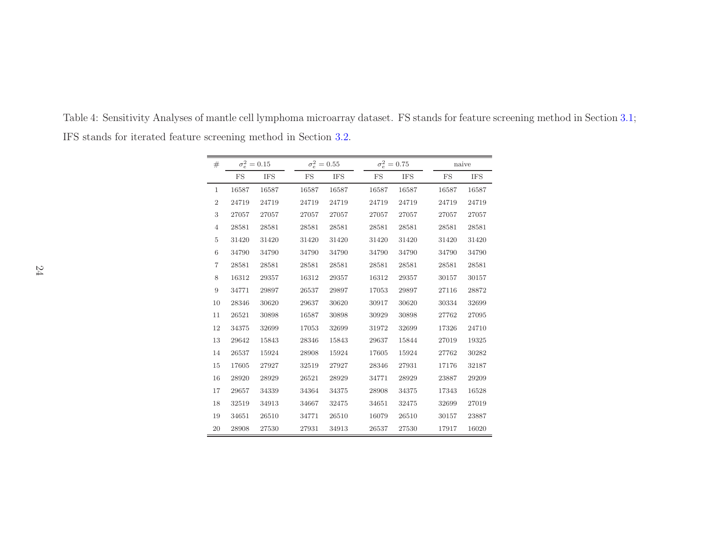<span id="page-24-0"></span>

| #              | $\sigma_e^2 = 0.15$ |            | $\sigma_e^2 = 0.55$ |            | $\sigma_e^2 = 0.75$ |            |                      | naive      |  |  |
|----------------|---------------------|------------|---------------------|------------|---------------------|------------|----------------------|------------|--|--|
|                | FS                  | <b>IFS</b> | FS                  | <b>IFS</b> | FS                  | <b>IFS</b> | FS                   | <b>IFS</b> |  |  |
| $\mathbf{1}$   | 16587               | 16587      | 16587               | 16587      | 16587               | 16587      | 16587                | 16587      |  |  |
| $\overline{2}$ | 24719               | 24719      | 24719               | 24719      | 24719               | 24719      | 24719                | 24719      |  |  |
| 3              | 27057               | 27057      | 27057               | 27057      | 27057               | 27057      | $\boldsymbol{27057}$ | 27057      |  |  |
| $\overline{4}$ | 28581               | 28581      | 28581               | 28581      | 28581               | 28581      | 28581                | 28581      |  |  |
| $\overline{5}$ | 31420               | 31420      | 31420               | 31420      | 31420               | 31420      | 31420                | 31420      |  |  |
| $\,$ 6 $\,$    | 34790               | 34790      | 34790               | 34790      | 34790               | 34790      | 34790                | 34790      |  |  |
| $\overline{7}$ | 28581               | 28581      | 28581               | 28581      | 28581               | 28581      | 28581                | 28581      |  |  |
| 8              | 16312               | 29357      | 16312               | 29357      | 16312               | 29357      | 30157                | 30157      |  |  |
| $\overline{9}$ | 34771               | 29897      | $26537\,$           | 29897      | 17053               | 29897      | 27116                | 28872      |  |  |
| 10             | 28346               | 30620      | 29637               | 30620      | 30917               | 30620      | 30334                | 32699      |  |  |
| 11             | 26521               | 30898      | 16587               | 30898      | 30929               | 30898      | 27762                | 27095      |  |  |
| 12             | 34375               | 32699      | 17053               | 32699      | 31972               | 32699      | 17326                | 24710      |  |  |
| 13             | 29642               | 15843      | 28346               | 15843      | 29637               | 15844      | 27019                | 19325      |  |  |
| 14             | 26537               | 15924      | 28908               | 15924      | 17605               | 15924      | 27762                | 30282      |  |  |
| 15             | 17605               | 27927      | 32519               | 27927      | 28346               | 27931      | 17176                | 32187      |  |  |
| 16             | 28920               | 28929      | 26521               | 28929      | 34771               | 28929      | 23887                | 29209      |  |  |
| 17             | 29657               | 34339      | 34364               | 34375      | 28908               | 34375      | 17343                | 16528      |  |  |
| 18             | 32519               | 34913      | 34667               | 32475      | 34651               | 32475      | 32699                | 27019      |  |  |
| 19             | 34651               | 26510      | 34771               | 26510      | 16079               | 26510      | 30157                | 23887      |  |  |
| 20             | 28908               | 27530      | 27931               | 34913      | 26537               | 27530      | 17917                | 16020      |  |  |

Table 4: Sensitivity Analyses of mantle cell lymphoma microarray dataset. FS stands for feature screening method in Section [3.1;](#page-6-2) IFS stands for iterated feature screening method in Section [3.2.](#page-9-2)